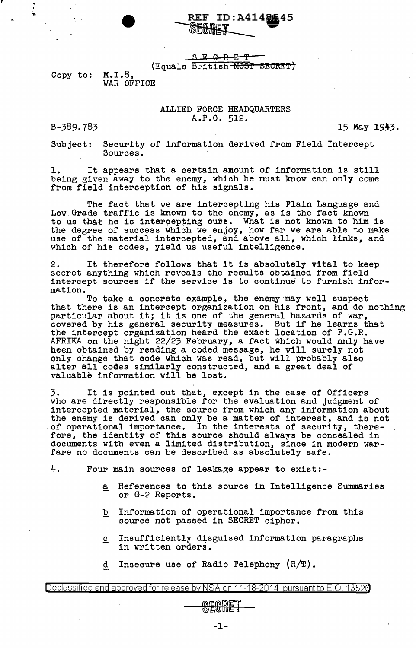REF ID: A414 REF ID:A4148645

SE<del>CRET</del> (Equals British MOST SECRET)

Copy to: M.I.8, WAR OFFICE

## ALLIED FORCE HEADQUARTERS A.P.O. 512.

B-389.783 15 May 1943.

Subject: Security of information derived from Field Intercept Sources.

1. It appears that a certain amount of information is still being given away to the enemy, which he must know can only come from field interception of his signals.

The fact that we are intercepting his Plain Language and Low Grade traffic is known to the enemy, as is the fact known to us that he is intercepting ours. What is not known to him is the degree of success which we enjoy, how far we are able to make use of the material intercepted, and above all, which links, and which of his codes, yield us useful intelligence.

2. It therefore follows that it is absolutely vital to keep secret anything which reveals the results obtained from field intercept sources if the service is to continue to furnish infor-

mation.<br>To take a concrete example, the enemy may well suspect To take a concrete example, the enemy·may well suspect that there is an intercept organization on his front, and do nothing that there is an intercept organization on his front, and do is particular about it; it is one of the general hazards of war, particular about it; it is one of the general hazards of war,<br>covered by his general security measures. But if he learns that the intercept organization heard the exact location of P.G.R. AFRIKA on the night 22/23 February, a fact which would only have been obtained by reading a coded message, he will surely not only change that code which was read, but will probably also enty change chase some which was room, but while present, and valuable information will be lost.

3. It is pointed out that, except in the case of Officers who are directly responsible for the evaluation and judgment of intercepted material, the source from which any information about the enemy is derived can only be a matter of interest, and is not of operational importance. In the interests of security, therefore, the identity of this source should always be concealed in documents with even a limited distribution, since in modern warfare no documents can be described as absolutely safe.

4. Four main sources of leakage appear to exist:-

- a References to this source in Intelligence Summaries or G-2 Reports.
- b Information of operational importance from this source not passed in SECRET cipher.
- $c$  Insufficiently disguised information paragraphs in written orders.
- d Insecure use of Radio Telephony  $(R/T)$ .

Declassified and approved for release by NSA on 11-18-2014 pursuant to E .0. 1352a

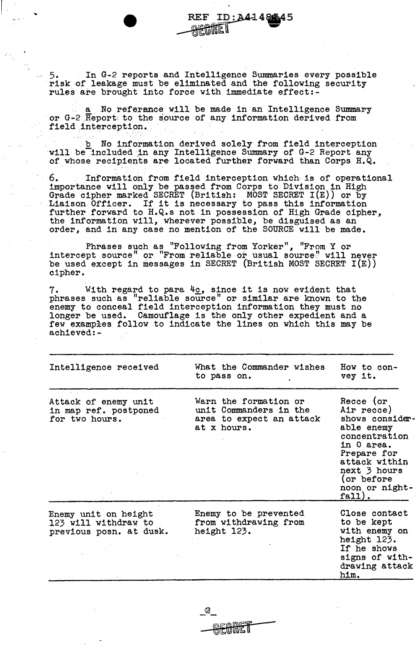.. 5. In G-2 reports and Intelligence Summaries every possible risk of leakage must be eliminated and the following security rules are brought into force with immediate effect:-

 $\vert$  .

"'·".

a No reference will be made in an Intelligence Summary or G-2 Report to the source of any information derived from field interception.

b No information derived solely from field interception will be included in any Intelligence Summary of G-2 Report any of whose recipients are located further forward than Corps H.Q.

6. Information from field interception which is of operational importance will only be passed from Corps to Division in High Grade cipher marked SECRET (British: MOST SECRET I(E)) or by Liaison Officer. If it is necessary to pass this information further forward to H.Q.s not in possession of High Grade cipher, the information will, wherever possible, be disguised as an the information will, wherever possible, be disguised as an order, and in any case no mention of the SOURCE will be made.

Phrases such as "Following from Yorker", "From Y or intercept source" or "From reliable or usual source" will never be used except in messages in SECRET (British MOST SECRET I(E)) cipher.

7. With regard to para  $4c$ , since it is now evident that phrases such as "reliable solirce" or similar are known to the enemy to conceal field interception information they must no longer be used. Camouflage is the only other expedient and a few examples follow to indicate the lines on which this may be achieved:-

| Intelligence received                                                   | What the Commander wishes<br>to pass on.                                                   | How to con-<br>vey it.                                                                                                                                                              |
|-------------------------------------------------------------------------|--------------------------------------------------------------------------------------------|-------------------------------------------------------------------------------------------------------------------------------------------------------------------------------------|
| Attack of enemy unit<br>in map ref. postponed<br>for two hours.         | Warn the formation or<br>unit Commanders in the<br>area to expect an attack<br>at x hours. | Recce (or<br>Air recce.)<br>shows consider-<br>able enemy<br>concentration<br>in 0 area.<br>Prepare for<br>attack within<br>next 3 hours<br>(or before)<br>noon or night-<br>fall). |
| Enemy unit on height<br>123 will withdraw to<br>previous posn. at dusk. | Enemy to be prevented<br>from withdrawing from<br>height 123.                              | Close contact<br>to be kept<br>with enemy on<br>height 123.<br>If he shows<br>signs of with-<br>drawing attack<br>him.                                                              |